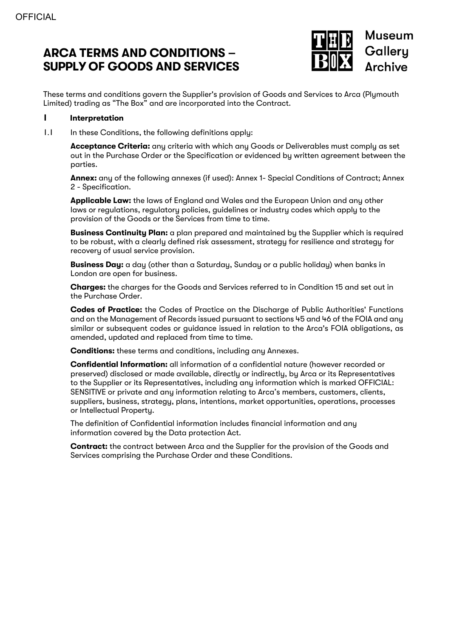# **ARCA TERMS AND CONDITIONS – SUPPLY OF GOODS AND SERVICES**



These terms and conditions govern the Supplier's provision of Goods and Services to Arca (Plymouth Limited) trading as "The Box" and are incorporated into the Contract.

#### **1 Interpretation**

1.1 In these Conditions, the following definitions apply:

**Acceptance Criteria:** any criteria with which any Goods or Deliverables must comply as set out in the Purchase Order or the Specification or evidenced by written agreement between the parties.

**Annex:** any of the following annexes (if used): Annex 1- Special Conditions of Contract; Annex 2 - Specification.

**Applicable Law:** the laws of England and Wales and the European Union and any other laws or regulations, regulatory policies, guidelines or industry codes which apply to the provision of the Goods or the Services from time to time.

**Business Continuity Plan:** a plan prepared and maintained by the Supplier which is required to be robust, with a clearly defined risk assessment, strategy for resilience and strategy for recovery of usual service provision.

**Business Day:** a day (other than a Saturday, Sunday or a public holiday) when banks in London are open for business.

**Charges:** the charges for the Goods and Services referred to in Condition 15 and set out in the Purchase Order.

**Codes of Practice:** the Codes of Practice on the Discharge of Public Authorities' Functions and on the Management of Records issued pursuant to sections 45 and 46 of the FOIA and any similar or subsequent codes or guidance issued in relation to the Arca's FOIA obligations, as amended, updated and replaced from time to time.

**Conditions:** these terms and conditions, including any Annexes.

**Confidential Information:** all information of a confidential nature (however recorded or preserved) disclosed or made available, directly or indirectly, by Arca or its Representatives to the Supplier or its Representatives, including any information which is marked OFFICIAL: SENSITIVE or private and any information relating to Arca's members, customers, clients, suppliers, business, strategy, plans, intentions, market opportunities, operations, processes or Intellectual Property.

The definition of Confidential information includes financial information and any information covered by the Data protection Act.

**Contract:** the contract between Arca and the Supplier for the provision of the Goods and Services comprising the Purchase Order and these Conditions.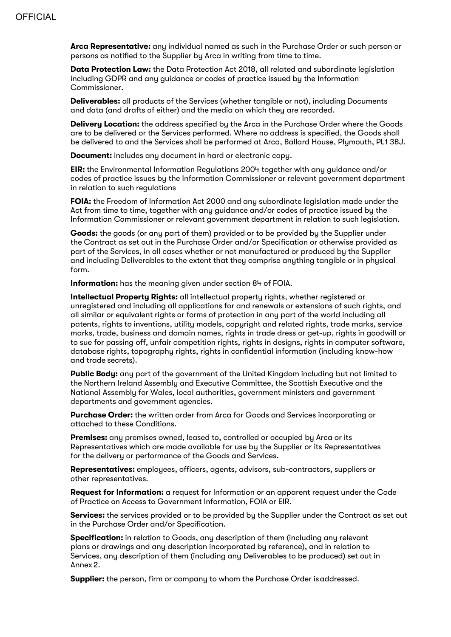**Arca Representative:** any individual named as such in the Purchase Order or such person or persons as notified to the Supplier by Arca in writing from time to time.

**Data Protection Law:** the Data Protection Act 2018, all related and subordinate legislation including GDPR and any guidance or codes of practice issued by the Information Commissioner.

**Deliverables:** all products of the Services (whether tangible or not), including Documents and data (and drafts of either) and the media on which they are recorded.

**Delivery Location:** the address specified by the Arca in the Purchase Order where the Goods are to be delivered or the Services performed. Where no address is specified, the Goods shall be delivered to and the Services shall be performed at Arca, Ballard House, Plymouth, PL1 3BJ.

**Document:** includes any document in hard or electronic copy.

**EIR:** the Environmental Information Regulations 2004 together with any guidance and/or codes of practice issues by the Information Commissioner or relevant government department in relation to such regulations

**FOIA:** the Freedom of Information Act 2000 and any subordinate legislation made under the Act from time to time, together with any guidance and/or codes of practice issued by the Information Commissioner or relevant government department in relation to such legislation.

**Goods:** the goods (or any part of them) provided or to be provided by the Supplier under the Contract as set out in the Purchase Order and/or Specification or otherwise provided as part of the Services, in all cases whether or not manufactured or produced by the Supplier and including Deliverables to the extent that they comprise anything tangible or in physical form.

**Information:** has the meaning given under section 84 of FOIA.

**Intellectual Property Rights:** all intellectual property rights, whether registered or unregistered and including all applications for and renewals or extensions of such rights, and all similar or equivalent rights or forms of protection in any part of the world including all patents, rights to inventions, utility models, copyright and related rights, trade marks, service marks, trade, business and domain names, rights in trade dress or get-up, rights in goodwill or to sue for passing off, unfair competition rights, rights in designs, rights in computer software, database rights, topography rights, rights in confidential information (including know-how and trade secrets).

**Public Body:** any part of the government of the United Kingdom including but not limited to the Northern Ireland Assembly and Executive Committee, the Scottish Executive and the National Assembly for Wales, local authorities, government ministers and government departments and government agencies.

**Purchase Order:** the written order from Arca for Goods and Services incorporating or attached to these Conditions.

**Premises:** any premises owned, leased to, controlled or occupied by Arca or its Representatives which are made available for use by the Supplier or its Representatives for the delivery or performance of the Goods and Services.

**Representatives:** employees, officers, agents, advisors, sub-contractors, suppliers or other representatives.

**Request for Information:** a request for Information or an apparent request under the Code of Practice on Access to Government Information, FOIA or EIR.

**Services:** the services provided or to be provided by the Supplier under the Contract as set out in the Purchase Order and/or Specification.

**Specification:** in relation to Goods, any description of them (including any relevant plans or drawings and any description incorporated by reference), and in relation to Services, any description of them (including any Deliverables to be produced) set out in Annex 2.

**Supplier:** the person, firm or company to whom the Purchase Order isaddressed.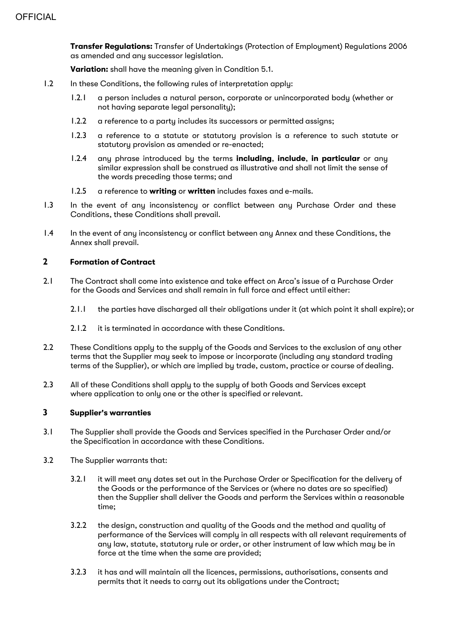**Transfer Regulations:** Transfer of Undertakings (Protection of Employment) Regulations 2006 as amended and any successor legislation.

**Variation:** shall have the meaning given in Condition 5.1.

- 1.2 In these Conditions, the following rules of interpretation apply:
	- 1.2.1 a person includes a natural person, corporate or unincorporated body (whether or not having separate legal personality);
	- 1.2.2 a reference to a party includes its successors or permitted assigns;
	- 1.2.3 a reference to a statute or statutory provision is a reference to such statute or statutory provision as amended or re-enacted;
	- 1.2.4 any phrase introduced by the terms **including**, **include**, **in particular** or any similar expression shall be construed as illustrative and shall not limit the sense of the words preceding those terms; and
	- 1.2.5 a reference to **writing** or **written** includes faxes and e-mails.
- 1.3 In the event of any inconsistency or conflict between any Purchase Order and these Conditions, these Conditions shall prevail.
- 1.4 In the event of any inconsistency or conflict between any Annex and these Conditions, the Annex shall prevail.

#### **2 Formation of Contract**

- 2.1 The Contract shall come into existence and take effect on Arca's issue of a Purchase Order for the Goods and Services and shall remain in full force and effect until either:
	- 2.1.1 the parties have discharged all their obligations under it (at which point it shall expire); or
	- 2.1.2 it is terminated in accordance with these Conditions.
- 2.2 These Conditions apply to the supply of the Goods and Services to the exclusion of any other terms that the Supplier may seek to impose or incorporate (including any standard trading terms of the Supplier), or which are implied by trade, custom, practice or course of dealing.
- 2.3 All of these Conditions shall apply to the supply of both Goods and Services except where application to only one or the other is specified or relevant.

# **3 Supplier's warranties**

- 3.1 The Supplier shall provide the Goods and Services specified in the Purchaser Order and/or the Specification in accordance with these Conditions.
- 3.2 The Supplier warrants that:
	- 3.2.1 it will meet any dates set out in the Purchase Order or Specification for the delivery of the Goods or the performance of the Services or (where no dates are so specified) then the Supplier shall deliver the Goods and perform the Services within a reasonable time;
	- 3.2.2 the design, construction and quality of the Goods and the method and quality of performance of the Services will comply in all respects with all relevant requirements of any law, statute, statutory rule or order, or other instrument of law which may be in force at the time when the same are provided;
	- 3.2.3 it has and will maintain all the licences, permissions, authorisations, consents and permits that it needs to carry out its obligations under the Contract;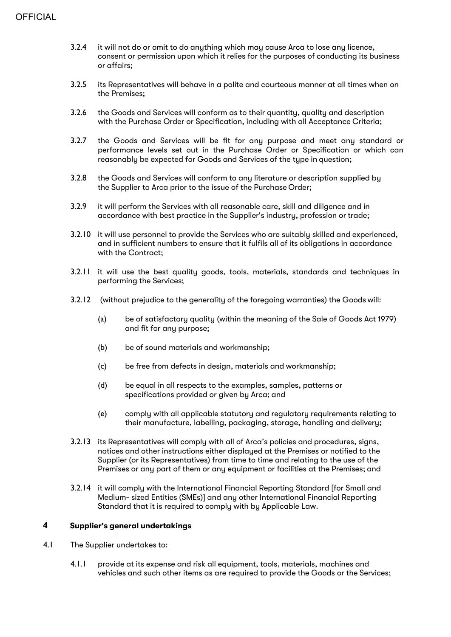- 3.2.4 it will not do or omit to do anything which may cause Arca to lose any licence, consent or permission upon which it relies for the purposes of conducting its business or affairs;
- 3.2.5 its Representatives will behave in a polite and courteous manner at all times when on the Premises;
- 3.2.6 the Goods and Services will conform as to their quantity, quality and description with the Purchase Order or Specification, including with all Acceptance Criteria;
- 3.2.7 the Goods and Services will be fit for any purpose and meet any standard or performance levels set out in the Purchase Order or Specification or which can reasonably be expected for Goods and Services of the type in question;
- 3.2.8 the Goods and Services will conform to any literature or description supplied by the Supplier to Arca prior to the issue of the Purchase Order;
- 3.2.9 it will perform the Services with all reasonable care, skill and diligence and in accordance with best practice in the Supplier's industry, profession or trade;
- 3.2.10 it will use personnel to provide the Services who are suitably skilled and experienced, and in sufficient numbers to ensure that it fulfils all of its obligations in accordance with the Contract;
- 3.2.11 it will use the best quality goods, tools, materials, standards and techniques in performing the Services;
- 3.2.12 (without prejudice to the generality of the foregoing warranties) the Goods will:
	- (a) be of satisfactory quality (within the meaning of the Sale of Goods Act 1979) and fit for any purpose;
	- (b) be of sound materials and workmanship;
	- (c) be free from defects in design, materials and workmanship;
	- (d) be equal in all respects to the examples, samples, patterns or specifications provided or given by Arca; and
	- (e) comply with all applicable statutory and regulatory requirements relating to their manufacture, labelling, packaging, storage, handling and delivery;
- 3.2.13 its Representatives will comply with all of Arca's policies and procedures, signs, notices and other instructions either displayed at the Premises or notified to the Supplier (or its Representatives) from time to time and relating to the use of the Premises or any part of them or any equipment or facilities at the Premises; and
- 3.2.14 it will comply with the International Financial Reporting Standard [for Small and Medium- sized Entities (SMEs)] and any other International Financial Reporting Standard that it is required to comply with by Applicable Law.

# **4 Supplier's general undertakings**

- 4.1 The Supplier undertakes to:
	- 4.1.1 provide at its expense and risk all equipment, tools, materials, machines and vehicles and such other items as are required to provide the Goods or the Services;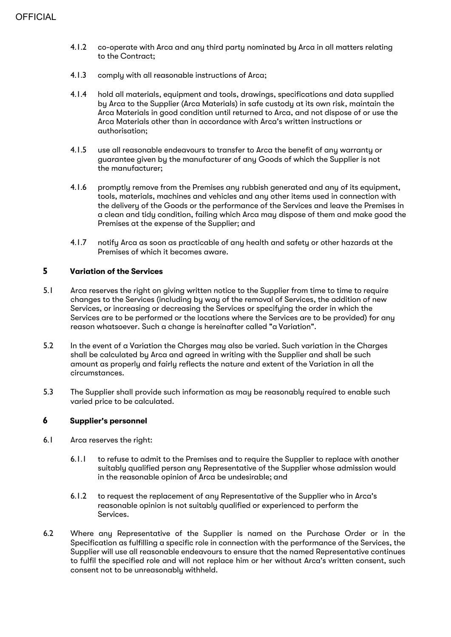- 4.1.2 co-operate with Arca and any third party nominated by Arca in all matters relating to the Contract;
- 4.1.3 comply with all reasonable instructions of Arca;
- 4.1.4 hold all materials, equipment and tools, drawings, specifications and data supplied by Arca to the Supplier (Arca Materials) in safe custody at its own risk, maintain the Arca Materials in good condition until returned to Arca, and not dispose of or use the Arca Materials other than in accordance with Arca's written instructions or authorisation;
- 4.1.5 use all reasonable endeavours to transfer to Arca the benefit of any warranty or guarantee given by the manufacturer of any Goods of which the Supplier is not the manufacturer;
- 4.1.6 promptly remove from the Premises any rubbish generated and any of its equipment, tools, materials, machines and vehicles and any other items used in connection with the delivery of the Goods or the performance of the Services and leave the Premises in a clean and tidy condition, failing which Arca may dispose of them and make good the Premises at the expense of the Supplier; and
- 4.1.7 notify Arca as soon as practicable of any health and safety or other hazards at the Premises of which it becomes aware.

#### **5 Variation of the Services**

- 5.1 Arca reserves the right on giving written notice to the Supplier from time to time to require changes to the Services (including by way of the removal of Services, the addition of new Services, or increasing or decreasing the Services or specifying the order in which the Services are to be performed or the locations where the Services are to be provided) for any reason whatsoever. Such a change is hereinafter called "a Variation".
- 5.2 In the event of a Variation the Charges may also be varied. Such variation in the Charges shall be calculated by Arca and agreed in writing with the Supplier and shall be such amount as properly and fairly reflects the nature and extent of the Variation in all the circumstances.
- 5.3 The Supplier shall provide such information as may be reasonably required to enable such varied price to be calculated.

#### **6 Supplier's personnel**

- 6.1 Arca reserves the right:
	- 6.1.1 to refuse to admit to the Premises and to require the Supplier to replace with another suitably qualified person any Representative of the Supplier whose admission would in the reasonable opinion of Arca be undesirable; and
	- 6.1.2 to request the replacement of any Representative of the Supplier who in Arca's reasonable opinion is not suitably qualified or experienced to perform the Services.
- 6.2 Where any Representative of the Supplier is named on the Purchase Order or in the Specification as fulfilling a specific role in connection with the performance of the Services, the Supplier will use all reasonable endeavours to ensure that the named Representative continues to fulfil the specified role and will not replace him or her without Arca's written consent, such consent not to be unreasonably withheld.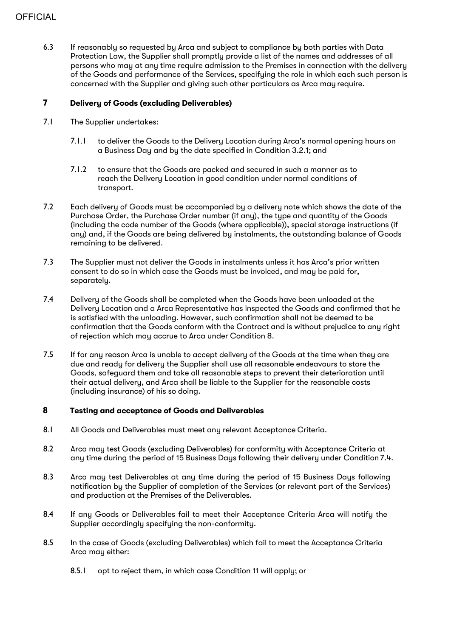# **OFFICIAL**

6.3 If reasonably so requested by Arca and subject to compliance by both parties with Data Protection Law, the Supplier shall promptly provide a list of the names and addresses of all persons who may at any time require admission to the Premises in connection with the delivery of the Goods and performance of the Services, specifying the role in which each such person is concerned with the Supplier and giving such other particulars as Arca may require.

# **7 Delivery of Goods (excluding Deliverables)**

- 7.1 The Supplier undertakes:
	- 7.1.1 to deliver the Goods to the Delivery Location during Arca's normal opening hours on a Business Day and by the date specified in Condition 3.2.1; and
	- 7.1.2 to ensure that the Goods are packed and secured in such a manner as to reach the Delivery Location in good condition under normal conditions of transport.
- 7.2 Each delivery of Goods must be accompanied by a delivery note which shows the date of the Purchase Order, the Purchase Order number (if any), the type and quantity of the Goods (including the code number of the Goods (where applicable)), special storage instructions (if any) and, if the Goods are being delivered by instalments, the outstanding balance of Goods remaining to be delivered.
- 7.3 The Supplier must not deliver the Goods in instalments unless it has Arca's prior written consent to do so in which case the Goods must be invoiced, and may be paid for, separately.
- 7.4 Delivery of the Goods shall be completed when the Goods have been unloaded at the Delivery Location and a Arca Representative has inspected the Goods and confirmed that he is satisfied with the unloading. However, such confirmation shall not be deemed to be confirmation that the Goods conform with the Contract and is without prejudice to any right of rejection which may accrue to Arca under Condition 8.
- 7.5 If for any reason Arca is unable to accept delivery of the Goods at the time when they are due and ready for delivery the Supplier shall use all reasonable endeavours to store the Goods, safeguard them and take all reasonable steps to prevent their deterioration until their actual delivery, and Arca shall be liable to the Supplier for the reasonable costs (including insurance) of his so doing.

# **8 Testing and acceptance of Goods and Deliverables**

- 8.1 All Goods and Deliverables must meet any relevant Acceptance Criteria.
- 8.2 Arca may test Goods (excluding Deliverables) for conformity with Acceptance Criteria at any time during the period of 15 Business Days following their delivery under Condition 7.4.
- 8.3 Arca may test Deliverables at any time during the period of 15 Business Days following notification by the Supplier of completion of the Services (or relevant part of the Services) and production at the Premises of the Deliverables.
- 8.4 If any Goods or Deliverables fail to meet their Acceptance Criteria Arca will notify the Supplier accordingly specifying the non-conformity.
- 8.5 In the case of Goods (excluding Deliverables) which fail to meet the Acceptance Criteria Arca mau either:
	- 8.5.1 opt to reject them, in which case Condition 11 will apply; or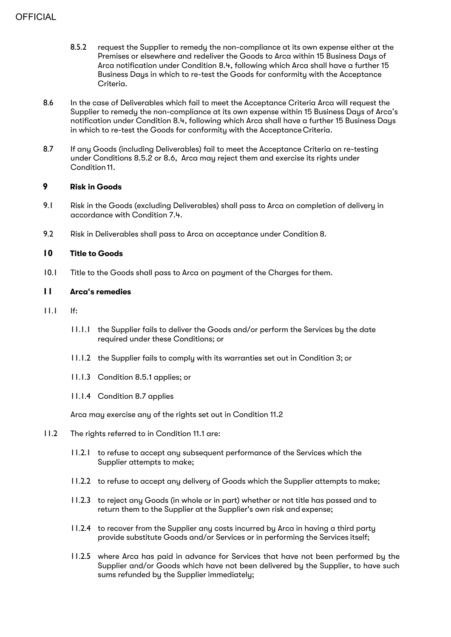- 8.5.2 request the Supplier to remedy the non-compliance at its own expense either at the Premises or elsewhere and redeliver the Goods to Arca within 15 Business Days of Arca notification under Condition 8.4, following which Arca shall have a further 15 Business Days in which to re-test the Goods for conformity with the Acceptance Criteria.
- 8.6 In the case of Deliverables which fail to meet the Acceptance Criteria Arca will request the Supplier to remedy the non-compliance at its own expense within 15 Business Days of Arca's notification under Condition 8.4, following which Arca shall have a further 15 Business Days in which to re-test the Goods for conformity with the Acceptance Criteria.
- 8.7 If any Goods (including Deliverables) fail to meet the Acceptance Criteria on re-testing under Conditions 8.5.2 or 8.6, Arca may reject them and exercise its rights under Condition11.

# **9 Risk in Goods**

- 9.1 Risk in the Goods (excluding Deliverables) shall pass to Arca on completion of delivery in accordance with Condition 7.4.
- 9.2 Risk in Deliverables shall pass to Arca on acceptance under Condition 8.

#### **10 Title to Goods**

10.1 Title to the Goods shall pass to Arca on payment of the Charges forthem.

#### **11 Arca's remedies**

- $11.1$  If:
	- 11.1.1 the Supplier fails to deliver the Goods and/or perform the Services by the date required under these Conditions; or
	- 11.1.2 the Supplier fails to comply with its warranties set out in Condition 3; or
	- 11.1.3 Condition 8.5.1 applies; or
	- 11.1.4 Condition 8.7 applies

Arca may exercise any of the rights set out in Condition 11.2

- 11.2 The rights referred to in Condition 11.1 are:
	- 11.2.1 to refuse to accept any subsequent performance of the Services which the Supplier attempts to make;
	- 11.2.2 to refuse to accept any delivery of Goods which the Supplier attempts to make;
	- 11.2.3 to reject any Goods (in whole or in part) whether or not title has passed and to return them to the Supplier at the Supplier's own risk and expense;
	- 11.2.4 to recover from the Supplier any costs incurred by Arca in having a third party provide substitute Goods and/or Services or in performing the Services itself;
	- 11.2.5 where Arca has paid in advance for Services that have not been performed by the Supplier and/or Goods which have not been delivered by the Supplier, to have such sums refunded by the Supplier immediately;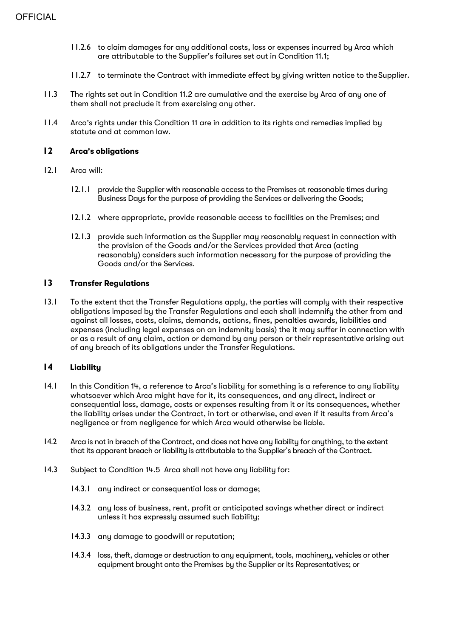- 11.2.6 to claim damages for any additional costs, loss or expenses incurred by Arca which are attributable to the Supplier's failures set out in Condition 11.1;
- 11.2.7 to terminate the Contract with immediate effect by giving written notice to theSupplier.
- 11.3 The rights set out in Condition 11.2 are cumulative and the exercise by Arca of any one of them shall not preclude it from exercising any other.
- 11.4 Arca's rights under this Condition 11 are in addition to its rights and remedies implied by statute and at common law.

#### **12 Arca's obligations**

- 12.1 Arca will:
	- 12.1.1 provide the Supplier with reasonable access to the Premises at reasonable times during Business Days for the purpose of providing the Services or delivering the Goods;
	- 12.1.2 where appropriate, provide reasonable access to facilities on the Premises; and
	- 12.1.3 provide such information as the Supplier may reasonably request in connection with the provision of the Goods and/or the Services provided that Arca (acting reasonably) considers such information necessary for the purpose of providing the Goods and/or the Services.

#### **13 Transfer Regulations**

13.1 To the extent that the Transfer Regulations apply, the parties will comply with their respective obligations imposed by the Transfer Regulations and each shall indemnify the other from and against all losses, costs, claims, demands, actions, fines, penalties awards, liabilities and expenses (including legal expenses on an indemnity basis) the it may suffer in connection with or as a result of any claim, action or demand by any person or their representative arising out of any breach of its obligations under the Transfer Regulations.

# **14 Liability**

- 14.1 In this Condition 14, a reference to Arca's liability for something is a reference to any liability whatsoever which Arca might have for it, its consequences, and any direct, indirect or consequential loss, damage, costs or expenses resulting from it or its consequences, whether the liability arises under the Contract, in tort or otherwise, and even if it results from Arca's negligence or from negligence for which Arca would otherwise be liable.
- 14.2 Arca is not in breach of the Contract, and does not have any liability for anything, to the extent that its apparent breach or liability is attributable to the Supplier's breach of the Contract.
- 14.3 Subject to Condition 14.5 Arca shall not have any liability for:
	- 14.3.1 any indirect or consequential loss or damage;
	- 14.3.2 any loss of business, rent, profit or anticipated savings whether direct or indirect unless it has expressly assumed such liability;
	- 14.3.3 any damage to goodwill or reputation;
	- 14.3.4 loss, theft, damage or destruction to any equipment, tools, machinery, vehicles or other equipment brought onto the Premises by the Supplier or its Representatives; or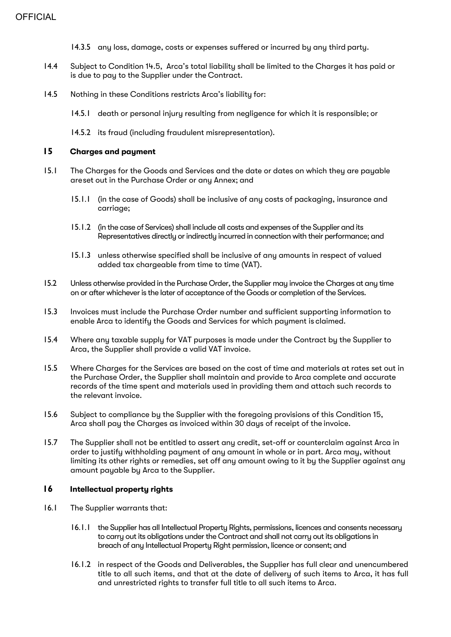- 14.3.5 any loss, damage, costs or expenses suffered or incurred by any third party.
- 14.4 Subject to Condition 14.5, Arca's total liability shall be limited to the Charges it has paid or is due to pay to the Supplier under the Contract.
- 14.5 Nothing in these Conditions restricts Arca's liability for:
	- 14.5.1 death or personal injury resulting from negligence for which it is responsible; or
	- 14.5.2 its fraud (including fraudulent misrepresentation).

#### **15 Charges and payment**

- 15.1 The Charges for the Goods and Services and the date or dates on which they are payable areset out in the Purchase Order or any Annex; and
	- 15.1.1 (in the case of Goods) shall be inclusive of any costs of packaging, insurance and carriage;
	- 15.1.2 (in the case of Services) shall include all costs and expenses of the Supplier and its Representatives directly or indirectly incurred in connection with their performance; and
	- 15.1.3 unless otherwise specified shall be inclusive of any amounts in respect of valued added tax chargeable from time to time (VAT).
- 15.2 Unless otherwise provided in the Purchase Order, the Supplier may invoice the Charges at any time on or after whichever is the later of acceptance of the Goods or completion of the Services.
- 15.3 Invoices must include the Purchase Order number and sufficient supporting information to enable Arca to identify the Goods and Services for which payment is claimed.
- 15.4 Where any taxable supply for VAT purposes is made under the Contract by the Supplier to Arca, the Supplier shall provide a valid VAT invoice.
- 15.5 Where Charges for the Services are based on the cost of time and materials at rates set out in the Purchase Order, the Supplier shall maintain and provide to Arca complete and accurate records of the time spent and materials used in providing them and attach such records to the relevant invoice.
- 15.6 Subject to compliance by the Supplier with the foregoing provisions of this Condition 15, Arca shall pay the Charges as invoiced within 30 days of receipt of the invoice.
- 15.7 The Supplier shall not be entitled to assert any credit, set-off or counterclaim against Arca in order to justify withholding payment of any amount in whole or in part. Arca may, without limiting its other rights or remedies, set off any amount owing to it by the Supplier against any amount payable by Arca to the Supplier.

#### **16 Intellectual property rights**

- 16.1 The Supplier warrants that:
	- 16.1.1 the Supplier has all Intellectual Property Rights, permissions, licences and consents necessary to carry out its obligations under the Contract and shall not carry out its obligations in breach of any Intellectual Property Right permission, licence or consent; and
	- 16.1.2 in respect of the Goods and Deliverables, the Supplier has full clear and unencumbered title to all such items, and that at the date of delivery of such items to Arca, it has full and unrestricted rights to transfer full title to all such items to Arca.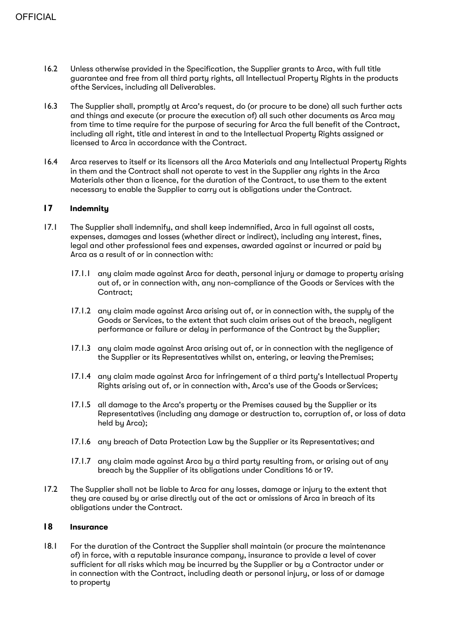- 16.2 Unless otherwise provided in the Specification, the Supplier grants to Arca, with full title guarantee and free from all third party rights, all Intellectual Property Rights in the products ofthe Services, including all Deliverables.
- 16.3 The Supplier shall, promptly at Arca's request, do (or procure to be done) all such further acts and things and execute (or procure the execution of) all such other documents as Arca may from time to time require for the purpose of securing for Arca the full benefit of the Contract, including all right, title and interest in and to the Intellectual Property Rights assigned or licensed to Arca in accordance with the Contract.
- 16.4 Arca reserves to itself or its licensors all the Arca Materials and any Intellectual Property Rights in them and the Contract shall not operate to vest in the Supplier any rights in the Arca Materials other than a licence, for the duration of the Contract, to use them to the extent necessary to enable the Supplier to carry out is obligations under the Contract.

# **17 Indemnity**

- 17.1 The Supplier shall indemnify, and shall keep indemnified, Arca in full against all costs, expenses, damages and losses (whether direct or indirect), including any interest, fines, legal and other professional fees and expenses, awarded against or incurred or paid by Arca as a result of or in connection with:
	- 17.1.1 any claim made against Arca for death, personal injury or damage to property arising out of, or in connection with, any non-compliance of the Goods or Services with the Contract;
	- 17.1.2 any claim made against Arca arising out of, or in connection with, the supply of the Goods or Services, to the extent that such claim arises out of the breach, negligent performance or failure or delay in performance of the Contract by the Supplier;
	- 17.1.3 any claim made against Arca arising out of, or in connection with the negligence of the Supplier or its Representatives whilst on, entering, or leaving the Premises;
	- 17.1.4 any claim made against Arca for infringement of a third party's Intellectual Property Rights arising out of, or in connection with, Arca's use of the Goods orServices;
	- 17.1.5 all damage to the Arca's property or the Premises caused by the Supplier or its Representatives (including any damage or destruction to, corruption of, or loss of data held by Arca);
	- 17.1.6 any breach of Data Protection Law by the Supplier or its Representatives; and
	- 17.1.7 any claim made against Arca by a third party resulting from, or arising out of any breach by the Supplier of its obligations under Conditions 16 or 19.
- 17.2 The Supplier shall not be liable to Arca for any losses, damage or injury to the extent that they are caused by or arise directly out of the act or omissions of Arca in breach of its obligations under the Contract.

# **18 Insurance**

18.1 For the duration of the Contract the Supplier shall maintain (or procure the maintenance of) in force, with a reputable insurance company, insurance to provide a level of cover sufficient for all risks which may be incurred by the Supplier or by a Contractor under or in connection with the Contract, including death or personal injury, or loss of or damage to property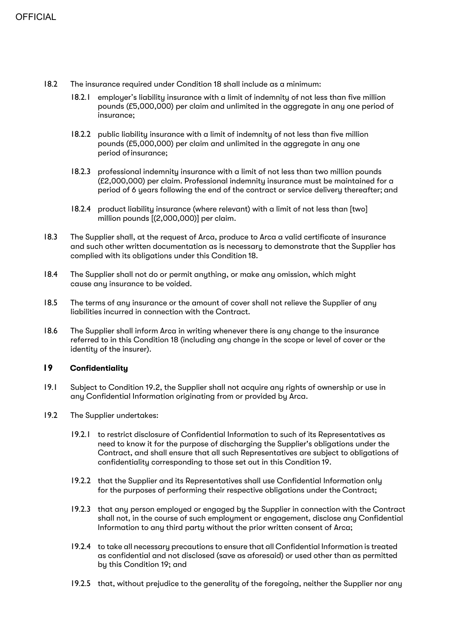- 18.2 The insurance required under Condition 18 shall include as a minimum:
	- 18.2.1 employer's liability insurance with a limit of indemnity of not less than five million pounds (£5,000,000) per claim and unlimited in the aggregate in any one period of insurance;
	- 18.2.2 public liability insurance with a limit of indemnity of not less than five million pounds (£5,000,000) per claim and unlimited in the aggregate in any one period ofinsurance;
	- 18.2.3 professional indemnity insurance with a limit of not less than two million pounds (£2,000,000) per claim. Professional indemnity insurance must be maintained for a period of 6 years following the end of the contract or service delivery thereafter; and
	- 18.2.4 product liability insurance (where relevant) with a limit of not less than [two] million pounds [(2,000,000)] per claim.
- 18.3 The Supplier shall, at the request of Arca, produce to Arca a valid certificate of insurance and such other written documentation as is necessary to demonstrate that the Supplier has complied with its obligations under this Condition 18.
- 18.4 The Supplier shall not do or permit anything, or make any omission, which might cause any insurance to be voided.
- 18.5 The terms of any insurance or the amount of cover shall not relieve the Supplier of any liabilities incurred in connection with the Contract.
- 18.6 The Supplier shall inform Arca in writing whenever there is any change to the insurance referred to in this Condition 18 (including any change in the scope or level of cover or the identity of the insurer).

#### **19 Confidentiality**

- 19.1 Subject to Condition 19.2, the Supplier shall not acquire any rights of ownership or use in any Confidential Information originating from or provided by Arca.
- 19.2 The Supplier undertakes:
	- 19.2.1 to restrict disclosure of Confidential Information to such of its Representatives as need to know it for the purpose of discharging the Supplier's obligations under the Contract, and shall ensure that all such Representatives are subject to obligations of confidentiality corresponding to those set out in this Condition 19.
	- 19.2.2 that the Supplier and its Representatives shall use Confidential Information only for the purposes of performing their respective obligations under the Contract;
	- 19.2.3 that any person employed or engaged by the Supplier in connection with the Contract shall not, in the course of such employment or engagement, disclose any Confidential Information to any third party without the prior written consent of Arca;
	- 19.2.4 to take all necessary precautions to ensure that all Confidential Information is treated as confidential and not disclosed (save as aforesaid) or used other than as permitted by this Condition 19; and
	- 19.2.5 that, without prejudice to the generality of the foregoing, neither the Supplier nor any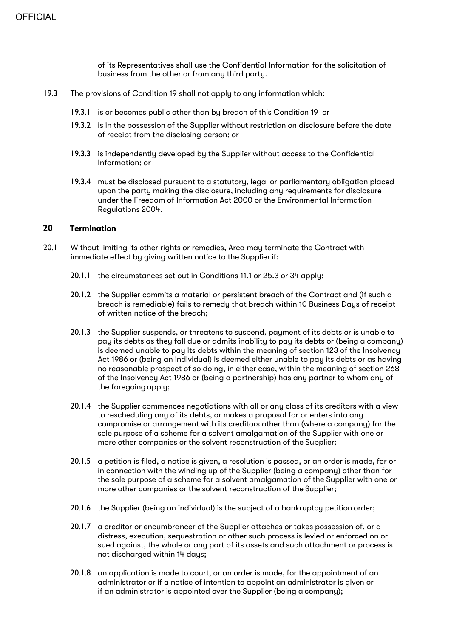of its Representatives shall use the Confidential Information for the solicitation of business from the other or from any third party.

- 19.3 The provisions of Condition 19 shall not apply to any information which:
	- 19.3.1 is or becomes public other than by breach of this Condition 19 or
	- 19.3.2 is in the possession of the Supplier without restriction on disclosure before the date of receipt from the disclosing person; or
	- 19.3.3 is independently developed by the Supplier without access to the Confidential Information; or
	- 19.3.4 must be disclosed pursuant to a statutory, legal or parliamentary obligation placed upon the party making the disclosure, including any requirements for disclosure under the Freedom of Information Act 2000 or the Environmental Information Regulations 2004.

#### **20 Termination**

- 20.1 Without limiting its other rights or remedies, Arca may terminate the Contract with immediate effect bu giving written notice to the Supplier if:
	- 20.1.1 the circumstances set out in Conditions 11.1 or 25.3 or 34 apply;
	- 20.1.2 the Supplier commits a material or persistent breach of the Contract and (if such a breach is remediable) fails to remedy that breach within 10 Business Days of receipt of written notice of the breach;
	- 20.1.3 the Supplier suspends, or threatens to suspend, payment of its debts or is unable to pay its debts as they fall due or admits inability to pay its debts or (being a company) is deemed unable to pay its debts within the meaning of section 123 of the Insolvency Act 1986 or (being an individual) is deemed either unable to pay its debts or as having no reasonable prospect of so doing, in either case, within the meaning of section 268 of the Insolvency Act 1986 or (being a partnership) has any partner to whom any of the foregoing apply;
	- 20.1.4 the Supplier commences negotiations with all or any class of its creditors with a view to rescheduling any of its debts, or makes a proposal for or enters into any compromise or arrangement with its creditors other than (where a company) for the sole purpose of a scheme for a solvent amalgamation of the Supplier with one or more other companies or the solvent reconstruction of the Supplier;
	- 20.1.5 a petition is filed, a notice is given, a resolution is passed, or an order is made, for or in connection with the winding up of the Supplier (being a company) other than for the sole purpose of a scheme for a solvent amalgamation of the Supplier with one or more other companies or the solvent reconstruction of the Supplier;
	- 20.1.6 the Supplier (being an individual) is the subject of a bankruptcy petition order;
	- 20.1.7 a creditor or encumbrancer of the Supplier attaches or takes possession of, or a distress, execution, sequestration or other such process is levied or enforced on or sued against, the whole or any part of its assets and such attachment or process is not discharged within 14 days;
	- 20.1.8 an application is made to court, or an order is made, for the appointment of an administrator or if a notice of intention to appoint an administrator is given or if an administrator is appointed over the Supplier (being a company);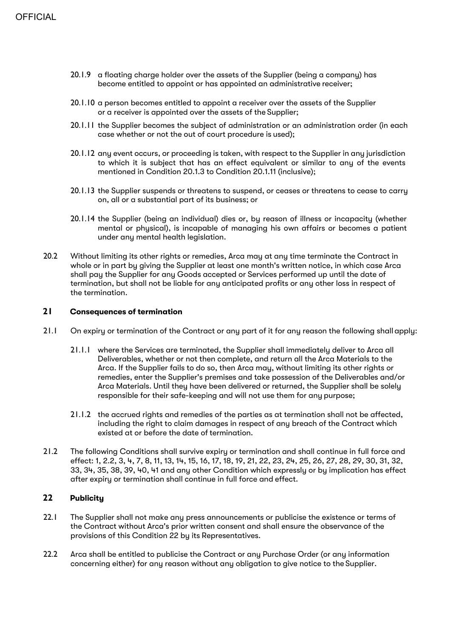- 20.1.9 a floating charge holder over the assets of the Supplier (being a company) has become entitled to appoint or has appointed an administrative receiver;
- 20.1.10 a person becomes entitled to appoint a receiver over the assets of the Supplier or a receiver is appointed over the assets of the Supplier;
- 20.1.11 the Supplier becomes the subject of administration or an administration order (in each case whether or not the out of court procedure is used);
- 20.1.12 any event occurs, or proceeding is taken, with respect to the Supplier in any jurisdiction to which it is subject that has an effect equivalent or similar to any of the events mentioned in Condition 20.1.3 to Condition 20.1.11 (inclusive);
- 20.1.13 the Supplier suspends or threatens to suspend, or ceases or threatens to cease to carry on, all or a substantial part of its business; or
- 20.1.14 the Supplier (being an individual) dies or, by reason of illness or incapacity (whether mental or physical), is incapable of managing his own affairs or becomes a patient under any mental health legislation.
- 20.2 Without limiting its other rights or remedies, Arca may at any time terminate the Contract in whole or in part by giving the Supplier at least one month's written notice, in which case Arca shall pay the Supplier for any Goods accepted or Services performed up until the date of termination, but shall not be liable for any anticipated profits or any other loss in respect of the termination.

# **21 Consequences of termination**

- 21.1 On expiry or termination of the Contract or any part of it for any reason the following shall apply:
	- 21.1.1 where the Services are terminated, the Supplier shall immediately deliver to Arca all Deliverables, whether or not then complete, and return all the Arca Materials to the Arca. If the Supplier fails to do so, then Arca may, without limiting its other rights or remedies, enter the Supplier's premises and take possession of the Deliverables and/or Arca Materials. Until they have been delivered or returned, the Supplier shall be solely responsible for their safe-keeping and will not use them for any purpose;
	- 21.1.2 the accrued rights and remedies of the parties as at termination shall not be affected, including the right to claim damages in respect of any breach of the Contract which existed at or before the date of termination.
- 21.2 The following Conditions shall survive expiry or termination and shall continue in full force and effect: 1, 2.2, 3, 4, 7, 8, 11, 13, 14, 15, 16, 17, 18, 19, 21, 22, 23, 24, 25, 26, 27, 28, 29, 30, 31, 32, 33, 34, 35, 38, 39, 40, 41 and any other Condition which expressly or by implication has effect after expiry or termination shall continue in full force and effect.

# **22 Publicity**

- 22.1 The Supplier shall not make any press announcements or publicise the existence or terms of the Contract without Arca's prior written consent and shall ensure the observance of the provisions of this Condition 22 by its Representatives.
- 22.2 Arca shall be entitled to publicise the Contract or any Purchase Order (or any information concerning either) for any reason without any obligation to give notice to the Supplier.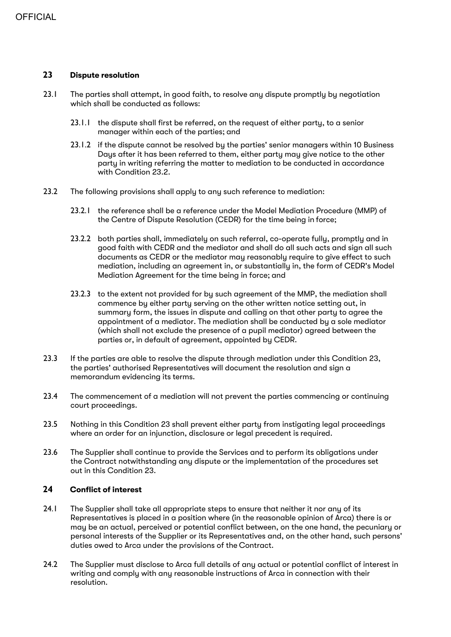# **23 Dispute resolution**

- 23.1 The parties shall attempt, in good faith, to resolve any dispute promptly by negotiation which shall be conducted as follows:
	- 23.1.1 the dispute shall first be referred, on the request of either party, to a senior manager within each of the parties; and
	- 23.1.2 if the dispute cannot be resolved by the parties' senior managers within 10 Business Days after it has been referred to them, either party may give notice to the other party in writing referring the matter to mediation to be conducted in accordance with Condition 23.2.
- 23.2 The following provisions shall apply to any such reference to mediation:
	- 23.2.1 the reference shall be a reference under the Model Mediation Procedure (MMP) of the Centre of Dispute Resolution (CEDR) for the time being in force;
	- 23.2.2 both parties shall, immediately on such referral, co-operate fully, promptly and in good faith with CEDR and the mediator and shall do all such acts and sign all such documents as CEDR or the mediator may reasonably require to give effect to such mediation, including an agreement in, or substantially in, the form of CEDR's Model Mediation Agreement for the time being in force; and
	- 23.2.3 to the extent not provided for by such agreement of the MMP, the mediation shall commence by either party serving on the other written notice setting out, in summary form, the issues in dispute and calling on that other party to agree the appointment of a mediator. The mediation shall be conducted by a sole mediator (which shall not exclude the presence of a pupil mediator) agreed between the parties or, in default of agreement, appointed by CEDR.
- 23.3 If the parties are able to resolve the dispute through mediation under this Condition 23, the parties' authorised Representatives will document the resolution and sign a memorandum evidencing its terms.
- 23.4 The commencement of a mediation will not prevent the parties commencing or continuing court proceedings.
- 23.5 Nothing in this Condition 23 shall prevent either party from instigating legal proceedings where an order for an injunction, disclosure or legal precedent is required.
- 23.6 The Supplier shall continue to provide the Services and to perform its obligations under the Contract notwithstanding any dispute or the implementation of the procedures set out in this Condition 23.

# **24 Conflict of interest**

- 24.1 The Supplier shall take all appropriate steps to ensure that neither it nor any of its Representatives is placed in a position where (in the reasonable opinion of Arca) there is or may be an actual, perceived or potential conflict between, on the one hand, the pecuniary or personal interests of the Supplier or its Representatives and, on the other hand, such persons' duties owed to Arca under the provisions of the Contract.
- 24.2 The Supplier must disclose to Arca full details of any actual or potential conflict of interest in writing and comply with any reasonable instructions of Arca in connection with their resolution.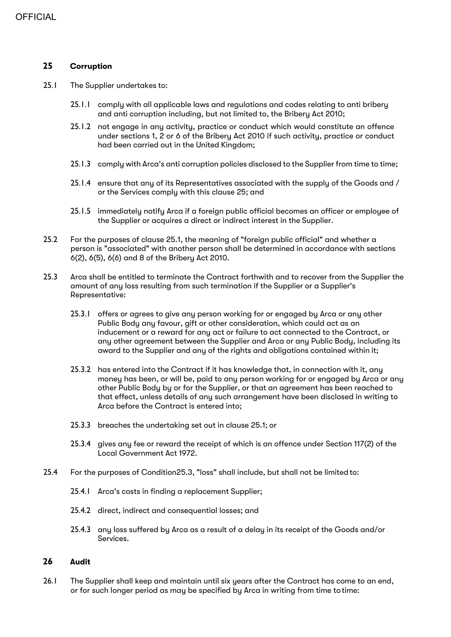## **25 Corruption**

- 25.1 The Supplier undertakes to:
	- 25.1.1 comply with all applicable laws and regulations and codes relating to anti bribery and anti corruption including, but not limited to, the Bribery Act 2010;
	- 25.1.2 not engage in any activity, practice or conduct which would constitute an offence under sections 1, 2 or 6 of the Bribery Act 2010 if such activity, practice or conduct had been carried out in the United Kingdom;
	- 25.1.3 comply with Arca's anti corruption policies disclosed to the Supplier from time to time;
	- 25.1.4 ensure that any of its Representatives associated with the supply of the Goods and / or the Services comply with this clause 25; and
	- 25.1.5 immediately notify Arca if a foreign public official becomes an officer or employee of the Supplier or acquires a direct or indirect interest in the Supplier.
- 25.2 For the purposes of clause 25.1, the meaning of "foreign public official" and whether a person is "associated" with another person shall be determined in accordance with sections 6(2), 6(5), 6(6) and 8 of the Bribery Act 2010.
- 25.3 Arca shall be entitled to terminate the Contract forthwith and to recover from the Supplier the amount of any loss resulting from such termination if the Supplier or a Supplier's Representative:
	- 25.3.1 offers or agrees to give any person working for or engaged by Arca or any other Public Body any favour, gift or other consideration, which could act as an inducement or a reward for any act or failure to act connected to the Contract, or any other agreement between the Supplier and Arca or any Public Body, including its award to the Supplier and any of the rights and obligations contained within it;
	- 25.3.2 has entered into the Contract if it has knowledge that, in connection with it, any money has been, or will be, paid to any person working for or engaged by Arca or any other Public Body by or for the Supplier, or that an agreement has been reached to that effect, unless details of any such arrangement have been disclosed in writing to Arca before the Contract is entered into;
	- 25.3.3 breaches the undertaking set out in clause 25.1; or
	- 25.3.4 gives any fee or reward the receipt of which is an offence under Section 117(2) of the Local Government Act 1972.
- 25.4 For the purposes of Condition25.3, "loss" shall include, but shall not be limited to:
	- 25.4.1 Arca's costs in finding a replacement Supplier;
	- 25.4.2 direct, indirect and consequential losses; and
	- 25.4.3 any loss suffered by Arca as a result of a delay in its receipt of the Goods and/or Services.

#### **26 Audit**

26.1 The Supplier shall keep and maintain until six years after the Contract has come to an end, or for such longer period as may be specified by Arca in writing from time to time: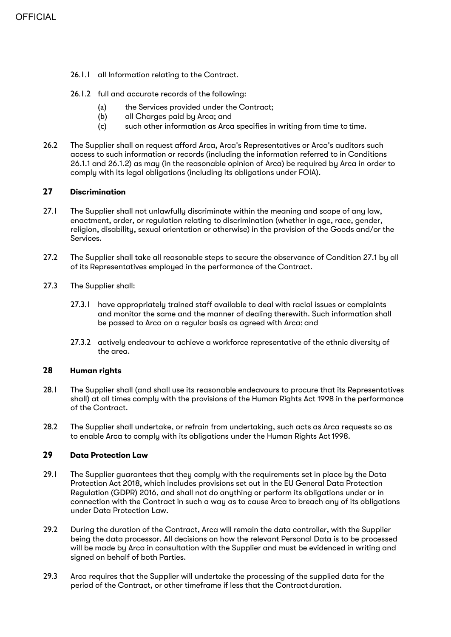- 26.1.1 all Information relating to the Contract.
- 26.1.2 full and accurate records of the following:
	- (a) the Services provided under the Contract;
	- (b) all Charges paid by Arca; and
	- (c) such other information as Arca specifies in writing from time to time.
- 26.2 The Supplier shall on request afford Arca, Arca's Representatives or Arca's auditors such access to such information or records (including the information referred to in Conditions 26.1.1 and 26.1.2) as may (in the reasonable opinion of Arca) be required by Arca in order to comply with its legal obligations (including its obligations under FOIA).

# **27 Discrimination**

- 27.1 The Supplier shall not unlawfully discriminate within the meaning and scope of any law, enactment, order, or regulation relating to discrimination (whether in age, race, gender, religion, disability, sexual orientation or otherwise) in the provision of the Goods and/or the Services.
- 27.2 The Supplier shall take all reasonable steps to secure the observance of Condition 27.1 by all of its Representatives employed in the performance of the Contract.
- 27.3 The Supplier shall:
	- 27.3.1 have appropriately trained staff available to deal with racial issues or complaints and monitor the same and the manner of dealing therewith. Such information shall be passed to Arca on a regular basis as agreed with Arca; and
	- 27.3.2 actively endeavour to achieve a workforce representative of the ethnic diversity of the area.

## **28 Human rights**

- 28.1 The Supplier shall (and shall use its reasonable endeavours to procure that its Representatives shall) at all times comply with the provisions of the Human Rights Act 1998 in the performance of the Contract.
- 28.2 The Supplier shall undertake, or refrain from undertaking, such acts as Arca requests so as to enable Arca to comply with its obligations under the Human Rights Act1998.

# **29 Data Protection Law**

- 29.1 The Supplier guarantees that they comply with the requirements set in place by the Data Protection Act 2018, which includes provisions set out in the EU General Data Protection Regulation (GDPR) 2016, and shall not do anything or perform its obligations under or in connection with the Contract in such a way as to cause Arca to breach any of its obligations under Data Protection Law.
- 29.2 During the duration of the Contract, Arca will remain the data controller, with the Supplier being the data processor. All decisions on how the relevant Personal Data is to be processed will be made by Arca in consultation with the Supplier and must be evidenced in writing and signed on behalf of both Parties.
- 29.3 Arca requires that the Supplier will undertake the processing of the supplied data for the period of the Contract, or other timeframe if less that the Contract duration.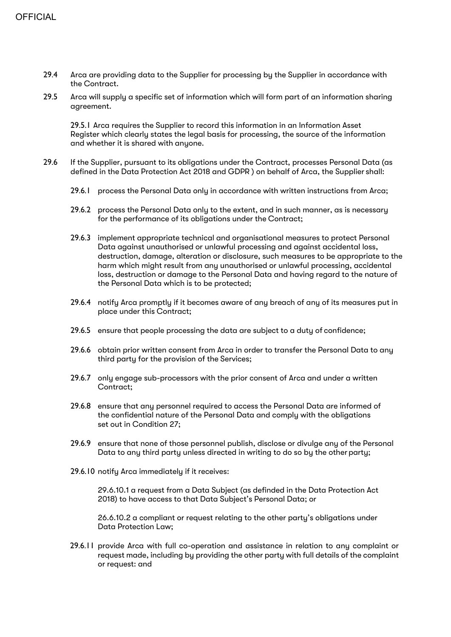- 29.4 Arca are providing data to the Supplier for processing by the Supplier in accordance with the Contract.
- 29.5 Arca will supply a specific set of information which will form part of an information sharing agreement.

29.5.1 Arca requires the Supplier to record this information in an Information Asset Register which clearly states the legal basis for processing, the source of the information and whether it is shared with anyone.

- 29.6 If the Supplier, pursuant to its obligations under the Contract, processes Personal Data (as defined in the Data Protection Act 2018 and GDPR ) on behalf of Arca, the Supplier shall:
	- 29.6.1 process the Personal Data only in accordance with written instructions from Arca;
	- 29.6.2 process the Personal Data only to the extent, and in such manner, as is necessary for the performance of its obligations under the Contract;
	- 29.6.3 implement appropriate technical and organisational measures to protect Personal Data against unauthorised or unlawful processing and against accidental loss, destruction, damage, alteration or disclosure, such measures to be appropriate to the harm which might result from any unauthorised or unlawful processing, accidental loss, destruction or damage to the Personal Data and having regard to the nature of the Personal Data which is to be protected;
	- 29.6.4 notify Arca promptly if it becomes aware of any breach of any of its measures put in place under this Contract;
	- 29.6.5 ensure that people processing the data are subject to a duty of confidence;
	- 29.6.6 obtain prior written consent from Arca in order to transfer the Personal Data to any third party for the provision of the Services;
	- 29.6.7 only engage sub-processors with the prior consent of Arca and under a written Contract;
	- 29.6.8 ensure that any personnel required to access the Personal Data are informed of the confidential nature of the Personal Data and comply with the obligations set out in Condition 27;
	- 29.6.9 ensure that none of those personnel publish, disclose or divulge any of the Personal Data to any third party unless directed in writing to do so by the other party;
	- 29.6.10 notify Arca immediately if it receives:

29.6.10.1 a request from a Data Subject (as definded in the Data Protection Act 2018) to have access to that Data Subject's Personal Data; or

26.6.10.2 a compliant or request relating to the other party's obligations under Data Protection Law;

29.6.11 provide Arca with full co-operation and assistance in relation to any complaint or request made, including by providing the other party with full details of the complaint or request: and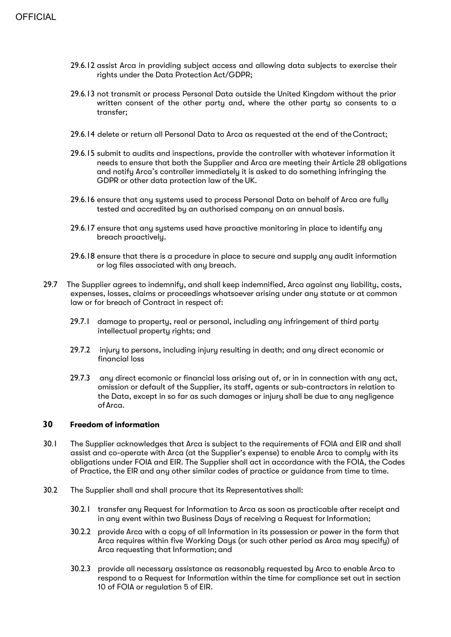- 29.6.12 assist Arca in providing subject access and allowing data subjects to exercise their rights under the Data Protection Act/GDPR;
- 29.6.13 not transmit or process Personal Data outside the United Kingdom without the prior written consent of the other party and, where the other party so consents to a transfer;
- 29.6.14 delete or return all Personal Data to Arca as requested at the end of theContract;
- 29.6.15 submit to audits and inspections, provide the controller with whatever information it needs to ensure that both the Supplier and Arca are meeting their Article 28 obligations and notify Arca's controller immediately it is asked to do something infringing the GDPR or other data protection law of the UK.
- 29.6.16 ensure that any systems used to process Personal Data on behalf of Arca are fully tested and accredited by an authorised company on an annual basis.
- 29.6.17 ensure that any systems used have proactive monitoring in place to identify any breach proactively.
- 29.6.18 ensure that there is a procedure in place to secure and supply any audit information or log files associated with any breach.
- 29.7 The Supplier agrees to indemnify, and shall keep indemnified, Arca against any liability, costs, expenses, losses, claims or proceedings whatsoever arising under any statute or at common law or for breach of Contract in respect of:
	- 29.7.1 damage to property, real or personal, including any infringement of third party intellectual property rights; and
	- 29.7.2 injury to persons, including injury resulting in death; and any direct economic or financial loss
	- 29.7.3 any direct ecomonic or financial loss arising out of, or in in connection with any act, omission or default of the Supplier, its staff, agents or sub-contractors in relation to the Data, except in so far as such damages or injury shall be due to any negligence ofArca.

#### **30 Freedom of information**

- 30.1 The Supplier acknowledges that Arca is subject to the requirements of FOIA and EIR and shall assist and co-operate with Arca (at the Supplier's expense) to enable Arca to comply with its obligations under FOIA and EIR. The Supplier shall act in accordance with the FOIA, the Codes of Practice, the EIR and any other similar codes of practice or guidance from time to time.
- 30.2 The Supplier shall and shall procure that its Representatives shall:
	- 30.2.1 transfer any Request for Information to Arca as soon as practicable after receipt and in any event within two Business Days of receiving a Request for Information;
	- 30.2.2 provide Arca with a copy of all Information in its possession or power in the form that Arca requires within five Working Days (or such other period as Arca may specify) of Arca requesting that Information; and
	- 30.2.3 provide all necessary assistance as reasonably requested by Arca to enable Arca to respond to a Request for Information within the time for compliance set out in section 10 of FOIA or regulation 5 of EIR.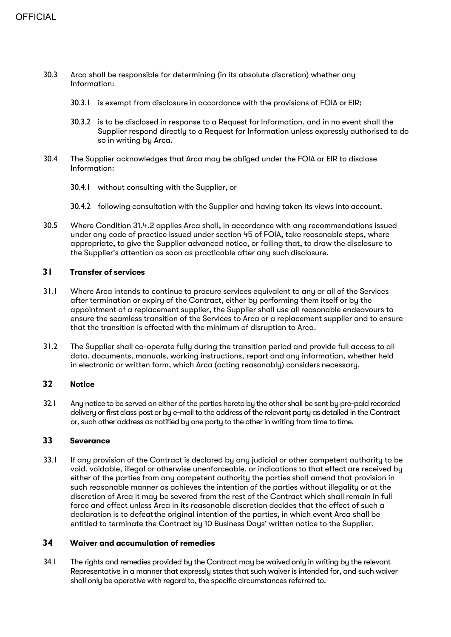- 30.3 Arca shall be responsible for determining (in its absolute discretion) whether any Information:
	- 30.3.1 is exempt from disclosure in accordance with the provisions of FOIA or EIR;
	- 30.3.2 is to be disclosed in response to a Request for Information, and in no event shall the Supplier respond directly to a Request for Information unless expressly authorised to do so in writing by Arca.
- 30.4 The Supplier acknowledges that Arca may be obliged under the FOIA or EIR to disclose Information:
	- 30.4.1 without consulting with the Supplier, or
	- 30.4.2 following consultation with the Supplier and having taken its views into account.
- 30.5 Where Condition 31.4.2 applies Arca shall, in accordance with any recommendations issued under any code of practice issued under section 45 of FOIA, take reasonable steps, where appropriate, to give the Supplier advanced notice, or failing that, to draw the disclosure to the Supplier's attention as soon as practicable after any such disclosure.

## **31 Transfer of services**

- 31.1 Where Arca intends to continue to procure services equivalent to any or all of the Services after termination or expiry of the Contract, either by performing them itself or by the appointment of a replacement supplier, the Supplier shall use all reasonable endeavours to ensure the seamless transition of the Services to Arca or a replacement supplier and to ensure that the transition is effected with the minimum of disruption to Arca.
- 31.2 The Supplier shall co-operate fully during the transition period and provide full access to all data, documents, manuals, working instructions, report and any information, whether held in electronic or written form, which Arca (acting reasonably) considers necessary.

#### **32 Notice**

32.1 Any notice to be served on either of the parties hereto by the other shall be sent by pre-paid recorded delivery or first class post or by e-mail to the address of the relevant party as detailed in the Contract or, such other address as notified by one party to the other in writing from time to time.

#### **33 Severance**

33.1 If any provision of the Contract is declared by any judicial or other competent authority to be void, voidable, illegal or otherwise unenforceable, or indications to that effect are received by either of the parties from any competent authority the parties shall amend that provision in such reasonable manner as achieves the intention of the parties without illegality or at the discretion of Arca it may be severed from the rest of the Contract which shall remain in full force and effect unless Arca in its reasonable discretion decides that the effect of such a declaration is to defeatthe original intention of the parties, in which event Arca shall be entitled to terminate the Contract by 10 Business Days' written notice to the Supplier.

# **34 Waiver and accumulation of remedies**

34.1 The rights and remedies provided by the Contract may be waived only in writing by the relevant Representative in a manner that expressly states that such waiver is intended for, and such waiver shall only be operative with regard to, the specific circumstances referred to.